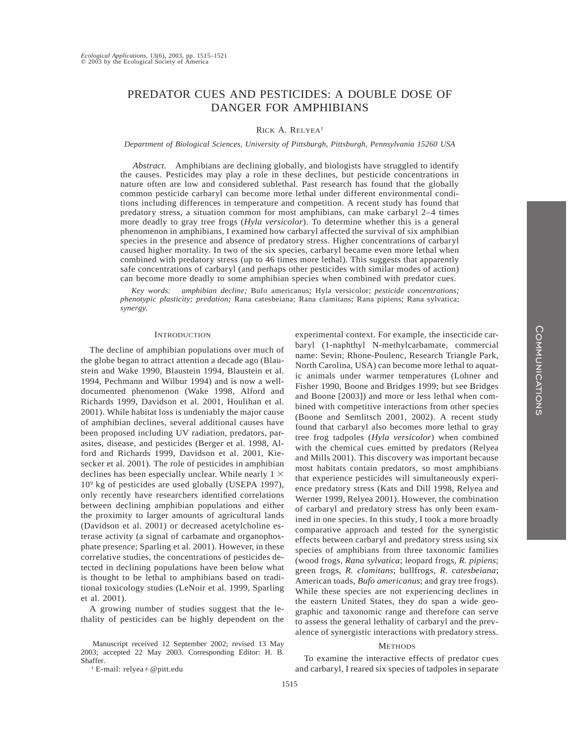# PREDATOR CUES AND PESTICIDES: A DOUBLE DOSE OF DANGER FOR AMPHIBIANS

## RICK A. RELYEA<sup>1</sup>

*Department of Biological Sciences, University of Pittsburgh, Pittsburgh, Pennsylvania 15260 USA*

*Abstract.* Amphibians are declining globally, and biologists have struggled to identify the causes. Pesticides may play a role in these declines, but pesticide concentrations in nature often are low and considered sublethal. Past research has found that the globally common pesticide carbaryl can become more lethal under different environmental conditions including differences in temperature and competition. A recent study has found that predatory stress, a situation common for most amphibians, can make carbaryl 2–4 times more deadly to gray tree frogs (*Hyla versicolor*). To determine whether this is a general phenomenon in amphibians, I examined how carbaryl affected the survival of six amphibian species in the presence and absence of predatory stress. Higher concentrations of carbaryl caused higher mortality. In two of the six species, carbaryl became even more lethal when combined with predatory stress (up to 46 times more lethal). This suggests that apparently safe concentrations of carbaryl (and perhaps other pesticides with similar modes of action) can become more deadly to some amphibian species when combined with predator cues.

*Key words: amphibian decline;* Bufo americanus; Hyla versicolor; *pesticide concentrations; phenotypic plasticity; predation;* Rana catesbeiana; Rana clamitans; Rana pipiens; Rana sylvatica; *synergy.*

## **INTRODUCTION**

The decline of amphibian populations over much of the globe began to attract attention a decade ago (Blaustein and Wake 1990, Blaustein 1994, Blaustein et al. 1994, Pechmann and Wilbur 1994) and is now a welldocumented phenomenon (Wake 1998, Alford and Richards 1999, Davidson et al. 2001, Houlihan et al. 2001). While habitat loss is undeniably the major cause of amphibian declines, several additional causes have been proposed including UV radiation, predators, parasites, disease, and pesticides (Berger et al. 1998, Alford and Richards 1999, Davidson et al. 2001, Kiesecker et al. 2001). The role of pesticides in amphibian declines has been especially unclear. While nearly  $1 \times$ 109 kg of pesticides are used globally (USEPA 1997), only recently have researchers identified correlations between declining amphibian populations and either the proximity to larger amounts of agricultural lands (Davidson et al. 2001) or decreased acetylcholine esterase activity (a signal of carbamate and organophosphate presence; Sparling et al. 2001). However, in these correlative studies, the concentrations of pesticides detected in declining populations have been below what is thought to be lethal to amphibians based on traditional toxicology studies (LeNoir et al. 1999, Sparling et al. 2001).

A growing number of studies suggest that the lethality of pesticides can be highly dependent on the

Manuscript received 12 September 2002; revised 13 May 2003; accepted 22 May 2003. Corresponding Editor: H. B. Shaffer.

 $1$  E-mail: relyea + @pitt.edu

experimental context. For example, the insecticide carbaryl (1-naphthyl N-methylcarbamate, commercial name: Sevin; Rhone-Poulenc, Research Triangle Park, North Carolina, USA) can become more lethal to aquatic animals under warmer temperatures (Lohner and Fisher 1990, Boone and Bridges 1999; but see Bridges and Boone [2003]) and more or less lethal when combined with competitive interactions from other species (Boone and Semlitsch 2001, 2002). A recent study found that carbaryl also becomes more lethal to gray tree frog tadpoles (*Hyla versicolor*) when combined with the chemical cues emitted by predators (Relyea and Mills 2001). This discovery was important because most habitats contain predators, so most amphibians that experience pesticides will simultaneously experience predatory stress (Kats and Dill 1998, Relyea and Werner 1999, Relyea 2001). However, the combination of carbaryl and predatory stress has only been examined in one species. In this study, I took a more broadly comparative approach and tested for the synergistic effects between carbaryl and predatory stress using six species of amphibians from three taxonomic families (wood frogs, *Rana sylvatica*; leopard frogs, *R. pipiens*; green frogs, *R. clamitans*; bullfrogs, *R. catesbeiana*; American toads, *Bufo americanus*; and gray tree frogs). While these species are not experiencing declines in the eastern United States, they do span a wide geographic and taxonomic range and therefore can serve to assess the general lethality of carbaryl and the prevalence of synergistic interactions with predatory stress.

#### **METHODS**

To examine the interactive effects of predator cues and carbaryl, I reared six species of tadpoles in separate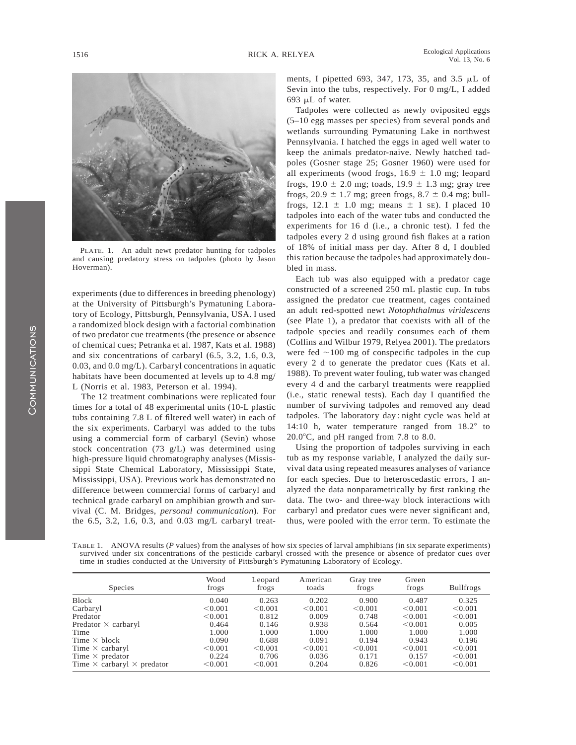

PLATE. 1. An adult newt predator hunting for tadpoles and causing predatory stress on tadpoles (photo by Jason Hoverman).

experiments (due to differences in breeding phenology) at the University of Pittsburgh's Pymatuning Laboratory of Ecology, Pittsburgh, Pennsylvania, USA. I used a randomized block design with a factorial combination of two predator cue treatments (the presence or absence of chemical cues; Petranka et al. 1987, Kats et al. 1988) and six concentrations of carbaryl (6.5, 3.2, 1.6, 0.3, 0.03, and 0.0 mg/L). Carbaryl concentrations in aquatic habitats have been documented at levels up to 4.8 mg/ L (Norris et al. 1983, Peterson et al. 1994).

The 12 treatment combinations were replicated four times for a total of 48 experimental units (10-L plastic tubs containing 7.8 L of filtered well water) in each of the six experiments. Carbaryl was added to the tubs using a commercial form of carbaryl (Sevin) whose stock concentration (73 g/L) was determined using high-pressure liquid chromatography analyses (Mississippi State Chemical Laboratory, Mississippi State, Mississippi, USA). Previous work has demonstrated no difference between commercial forms of carbaryl and technical grade carbaryl on amphibian growth and survival (C. M. Bridges, *personal communication*). For the 6.5, 3.2, 1.6, 0.3, and 0.03 mg/L carbaryl treatments, I pipetted 693, 347, 173, 35, and 3.5 mL of Sevin into the tubs, respectively. For 0 mg/L, I added 693 mL of water.

Tadpoles were collected as newly oviposited eggs (5–10 egg masses per species) from several ponds and wetlands surrounding Pymatuning Lake in northwest Pennsylvania. I hatched the eggs in aged well water to keep the animals predator-naive. Newly hatched tadpoles (Gosner stage 25; Gosner 1960) were used for all experiments (wood frogs,  $16.9 \pm 1.0$  mg; leopard frogs,  $19.0 \pm 2.0$  mg; toads,  $19.9 \pm 1.3$  mg; gray tree frogs,  $20.9 \pm 1.7$  mg; green frogs,  $8.7 \pm 0.4$  mg; bullfrogs,  $12.1 \pm 1.0$  mg; means  $\pm 1$  SE). I placed 10 tadpoles into each of the water tubs and conducted the experiments for 16 d (i.e., a chronic test). I fed the tadpoles every 2 d using ground fish flakes at a ration of 18% of initial mass per day. After 8 d, I doubled this ration because the tadpoles had approximately doubled in mass.

Each tub was also equipped with a predator cage constructed of a screened 250 mL plastic cup. In tubs assigned the predator cue treatment, cages contained an adult red-spotted newt *Notophthalmus viridescens* (see Plate 1), a predator that coexists with all of the tadpole species and readily consumes each of them (Collins and Wilbur 1979, Relyea 2001). The predators were fed  $\sim$ 100 mg of conspecific tadpoles in the cup every 2 d to generate the predator cues (Kats et al. 1988). To prevent water fouling, tub water was changed every 4 d and the carbaryl treatments were reapplied (i.e., static renewal tests). Each day I quantified the number of surviving tadpoles and removed any dead tadpoles. The laboratory day : night cycle was held at 14:10 h, water temperature ranged from  $18.2^{\circ}$  to 20.0 $\degree$ C, and pH ranged from 7.8 to 8.0.

Using the proportion of tadpoles surviving in each tub as my response variable, I analyzed the daily survival data using repeated measures analyses of variance for each species. Due to heteroscedastic errors, I analyzed the data nonparametrically by first ranking the data. The two- and three-way block interactions with carbaryl and predator cues were never significant and, thus, were pooled with the error term. To estimate the

TABLE 1. ANOVA results (*P* values) from the analyses of how six species of larval amphibians (in six separate experiments) survived under six concentrations of the pesticide carbaryl crossed with the presence or absence of predator cues over time in studies conducted at the University of Pittsburgh's Pymatuning Laboratory of Ecology.

| <b>Species</b>                           | Wood<br>frogs | Leopard<br>frogs | American<br>toads | Gray tree<br>frogs | Green<br>frogs | <b>Bullfrogs</b> |
|------------------------------------------|---------------|------------------|-------------------|--------------------|----------------|------------------|
| Block                                    | 0.040         | 0.263            | 0.202             | 0.900              | 0.487          | 0.325            |
| Carbaryl                                 | < 0.001       | < 0.001          | < 0.001           | < 0.001            | < 0.001        | < 0.001          |
| Predator                                 | < 0.001       | 0.812            | 0.009             | 0.748              | < 0.001        | < 0.001          |
| Predator $\times$ carbaryl               | 0.464         | 0.146            | 0.938             | 0.564              | < 0.001        | 0.005            |
| Time                                     | 1.000         | 1.000            | 1.000             | 1.000              | 1.000          | 1.000            |
| Time $\times$ block                      | 0.090         | 0.688            | 0.091             | 0.194              | 0.943          | 0.196            |
| Time $\times$ carbaryl                   | < 0.001       | < 0.001          | < 0.001           | < 0.001            | < 0.001        | < 0.001          |
| Time $\times$ predator                   | 0.224         | 0.706            | 0.036             | 0.171              | 0.157          | < 0.001          |
| Time $\times$ carbaryl $\times$ predator | < 0.001       | < 0.001          | 0.204             | 0.826              | < 0.001        | < 0.001          |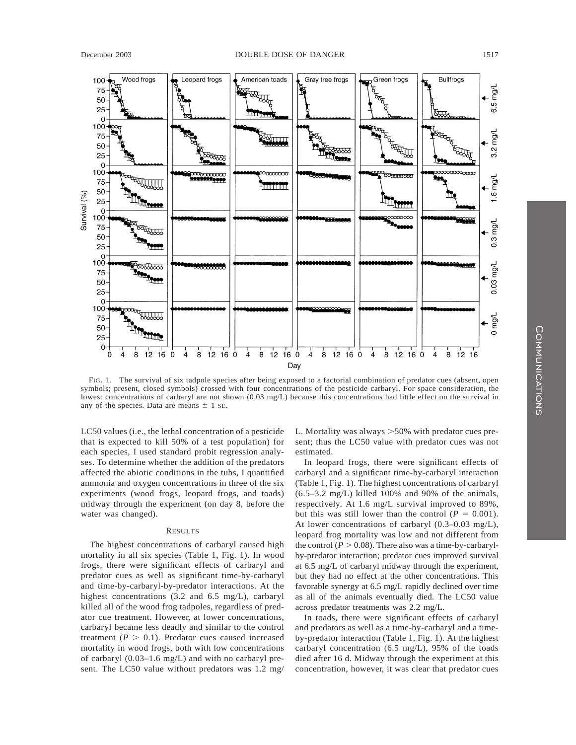

FIG. 1. The survival of six tadpole species after being exposed to a factorial combination of predator cues (absent, open symbols; present, closed symbols) crossed with four concentrations of the pesticide carbaryl. For space consideration, the lowest concentrations of carbaryl are not shown (0.03 mg/L) because this concentrations had little effect on the survival in any of the species. Data are means  $\pm$  1 se.

LC50 values (i.e., the lethal concentration of a pesticide that is expected to kill 50% of a test population) for each species, I used standard probit regression analyses. To determine whether the addition of the predators affected the abiotic conditions in the tubs, I quantified ammonia and oxygen concentrations in three of the six experiments (wood frogs, leopard frogs, and toads) midway through the experiment (on day 8, before the water was changed).

## RESULTS

The highest concentrations of carbaryl caused high mortality in all six species (Table 1, Fig. 1). In wood frogs, there were significant effects of carbaryl and predator cues as well as significant time-by-carbaryl and time-by-carbaryl-by-predator interactions. At the highest concentrations (3.2 and 6.5 mg/L), carbaryl killed all of the wood frog tadpoles, regardless of predator cue treatment. However, at lower concentrations, carbaryl became less deadly and similar to the control treatment  $(P > 0.1)$ . Predator cues caused increased mortality in wood frogs, both with low concentrations of carbaryl (0.03–1.6 mg/L) and with no carbaryl present. The LC50 value without predators was 1.2 mg/ L. Mortality was always  $>50\%$  with predator cues present; thus the LC50 value with predator cues was not estimated.

In leopard frogs, there were significant effects of carbaryl and a significant time-by-carbaryl interaction (Table 1, Fig. 1). The highest concentrations of carbaryl  $(6.5-3.2 \text{ mg/L})$  killed 100% and 90% of the animals, respectively. At 1.6 mg/L survival improved to 89%, but this was still lower than the control  $(P = 0.001)$ . At lower concentrations of carbaryl (0.3–0.03 mg/L), leopard frog mortality was low and not different from the control ( $P > 0.08$ ). There also was a time-by-carbarylby-predator interaction; predator cues improved survival at 6.5 mg/L of carbaryl midway through the experiment, but they had no effect at the other concentrations. This favorable synergy at 6.5 mg/L rapidly declined over time as all of the animals eventually died. The LC50 value across predator treatments was 2.2 mg/L.

In toads, there were significant effects of carbaryl and predators as well as a time-by-carbaryl and a timeby-predator interaction (Table 1, Fig. 1). At the highest carbaryl concentration (6.5 mg/L), 95% of the toads died after 16 d. Midway through the experiment at this concentration, however, it was clear that predator cues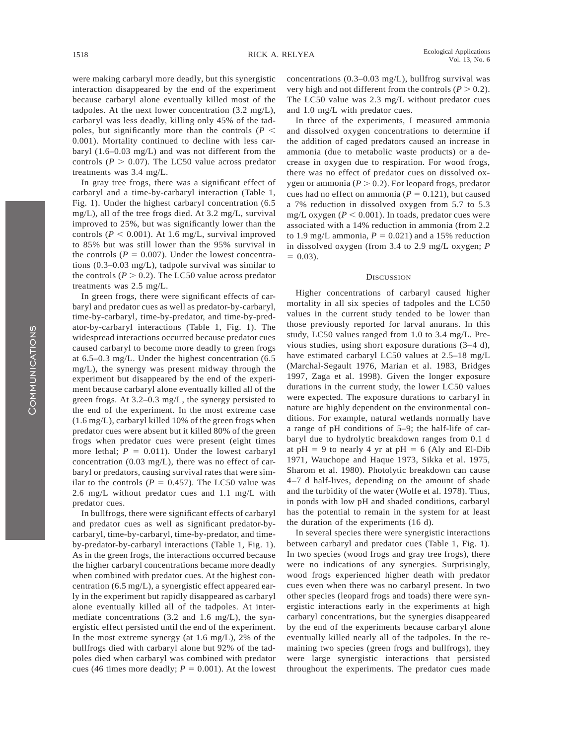were making carbaryl more deadly, but this synergistic interaction disappeared by the end of the experiment because carbaryl alone eventually killed most of the tadpoles. At the next lower concentration (3.2 mg/L), carbaryl was less deadly, killing only 45% of the tadpoles, but significantly more than the controls  $(P \leq$ 0.001). Mortality continued to decline with less carbaryl (1.6–0.03 mg/L) and was not different from the controls ( $P > 0.07$ ). The LC50 value across predator treatments was 3.4 mg/L.

In gray tree frogs, there was a significant effect of carbaryl and a time-by-carbaryl interaction (Table 1, Fig. 1). Under the highest carbaryl concentration (6.5 mg/L), all of the tree frogs died. At 3.2 mg/L, survival improved to 25%, but was significantly lower than the controls ( $P < 0.001$ ). At 1.6 mg/L, survival improved to 85% but was still lower than the 95% survival in the controls ( $P = 0.007$ ). Under the lowest concentrations (0.3–0.03 mg/L), tadpole survival was similar to the controls  $(P > 0.2)$ . The LC50 value across predator treatments was 2.5 mg/L.

In green frogs, there were significant effects of carbaryl and predator cues as well as predator-by-carbaryl, time-by-carbaryl, time-by-predator, and time-by-predator-by-carbaryl interactions (Table 1, Fig. 1). The widespread interactions occurred because predator cues caused carbaryl to become more deadly to green frogs at 6.5–0.3 mg/L. Under the highest concentration (6.5 mg/L), the synergy was present midway through the experiment but disappeared by the end of the experiment because carbaryl alone eventually killed all of the green frogs. At 3.2–0.3 mg/L, the synergy persisted to the end of the experiment. In the most extreme case (1.6 mg/L), carbaryl killed 10% of the green frogs when predator cues were absent but it killed 80% of the green frogs when predator cues were present (eight times more lethal;  $P = 0.011$ ). Under the lowest carbaryl concentration (0.03 mg/L), there was no effect of carbaryl or predators, causing survival rates that were similar to the controls ( $P = 0.457$ ). The LC50 value was 2.6 mg/L without predator cues and 1.1 mg/L with predator cues.

In bullfrogs, there were significant effects of carbaryl and predator cues as well as significant predator-bycarbaryl, time-by-carbaryl, time-by-predator, and timeby-predator-by-carbaryl interactions (Table 1, Fig. 1). As in the green frogs, the interactions occurred because the higher carbaryl concentrations became more deadly when combined with predator cues. At the highest concentration (6.5 mg/L), a synergistic effect appeared early in the experiment but rapidly disappeared as carbaryl alone eventually killed all of the tadpoles. At intermediate concentrations (3.2 and 1.6 mg/L), the synergistic effect persisted until the end of the experiment. In the most extreme synergy (at  $1.6 \text{ mg/L}$ ), 2% of the bullfrogs died with carbaryl alone but 92% of the tadpoles died when carbaryl was combined with predator cues (46 times more deadly;  $P = 0.001$ ). At the lowest concentrations (0.3–0.03 mg/L), bullfrog survival was very high and not different from the controls  $(P > 0.2)$ . The LC50 value was 2.3 mg/L without predator cues and 1.0 mg/L with predator cues.

In three of the experiments, I measured ammonia and dissolved oxygen concentrations to determine if the addition of caged predators caused an increase in ammonia (due to metabolic waste products) or a decrease in oxygen due to respiration. For wood frogs, there was no effect of predator cues on dissolved oxygen or ammonia ( $P > 0.2$ ). For leopard frogs, predator cues had no effect on ammonia ( $P = 0.121$ ), but caused a 7% reduction in dissolved oxygen from 5.7 to 5.3 mg/L oxygen ( $P < 0.001$ ). In toads, predator cues were associated with a 14% reduction in ammonia (from 2.2 to 1.9 mg/L ammonia,  $P = 0.021$ ) and a 15% reduction in dissolved oxygen (from 3.4 to 2.9 mg/L oxygen; *P*  $= 0.03$ ).

#### **DISCUSSION**

Higher concentrations of carbaryl caused higher mortality in all six species of tadpoles and the LC50 values in the current study tended to be lower than those previously reported for larval anurans. In this study, LC50 values ranged from 1.0 to 3.4 mg/L. Previous studies, using short exposure durations (3–4 d), have estimated carbaryl LC50 values at 2.5–18 mg/L (Marchal-Segault 1976, Marian et al. 1983, Bridges 1997, Zaga et al. 1998). Given the longer exposure durations in the current study, the lower LC50 values were expected. The exposure durations to carbaryl in nature are highly dependent on the environmental conditions. For example, natural wetlands normally have a range of pH conditions of 5–9; the half-life of carbaryl due to hydrolytic breakdown ranges from 0.1 d at  $pH = 9$  to nearly 4 yr at  $pH = 6$  (Aly and El-Dib 1971, Wauchope and Haque 1973, Sikka et al. 1975, Sharom et al. 1980). Photolytic breakdown can cause 4–7 d half-lives, depending on the amount of shade and the turbidity of the water (Wolfe et al. 1978). Thus, in ponds with low pH and shaded conditions, carbaryl has the potential to remain in the system for at least the duration of the experiments (16 d).

In several species there were synergistic interactions between carbaryl and predator cues (Table 1, Fig. 1). In two species (wood frogs and gray tree frogs), there were no indications of any synergies. Surprisingly, wood frogs experienced higher death with predator cues even when there was no carbaryl present. In two other species (leopard frogs and toads) there were synergistic interactions early in the experiments at high carbaryl concentrations, but the synergies disappeared by the end of the experiments because carbaryl alone eventually killed nearly all of the tadpoles. In the remaining two species (green frogs and bullfrogs), they were large synergistic interactions that persisted throughout the experiments. The predator cues made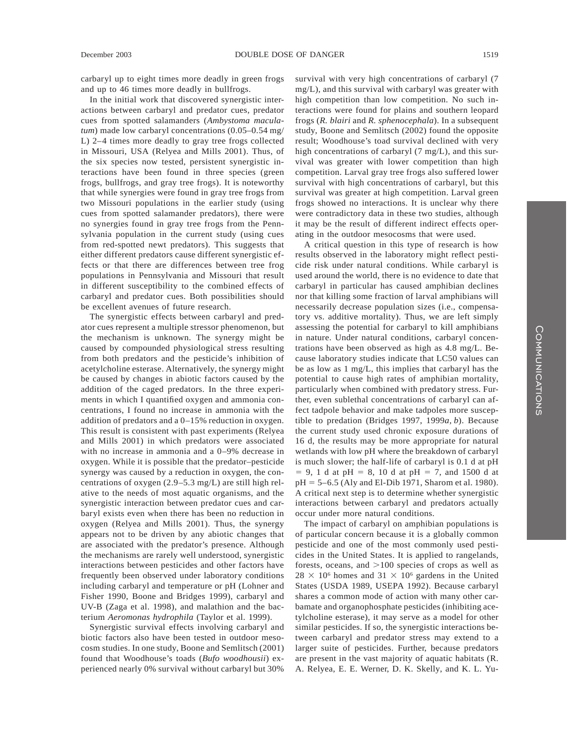carbaryl up to eight times more deadly in green frogs and up to 46 times more deadly in bullfrogs.

In the initial work that discovered synergistic interactions between carbaryl and predator cues, predator cues from spotted salamanders (*Ambystoma maculatum*) made low carbaryl concentrations (0.05–0.54 mg/ L) 2–4 times more deadly to gray tree frogs collected in Missouri, USA (Relyea and Mills 2001). Thus, of the six species now tested, persistent synergistic interactions have been found in three species (green frogs, bullfrogs, and gray tree frogs). It is noteworthy that while synergies were found in gray tree frogs from two Missouri populations in the earlier study (using cues from spotted salamander predators), there were no synergies found in gray tree frogs from the Pennsylvania population in the current study (using cues from red-spotted newt predators). This suggests that either different predators cause different synergistic effects or that there are differences between tree frog populations in Pennsylvania and Missouri that result in different susceptibility to the combined effects of carbaryl and predator cues. Both possibilities should be excellent avenues of future research.

The synergistic effects between carbaryl and predator cues represent a multiple stressor phenomenon, but the mechanism is unknown. The synergy might be caused by compounded physiological stress resulting from both predators and the pesticide's inhibition of acetylcholine esterase. Alternatively, the synergy might be caused by changes in abiotic factors caused by the addition of the caged predators. In the three experiments in which I quantified oxygen and ammonia concentrations, I found no increase in ammonia with the addition of predators and a 0–15% reduction in oxygen. This result is consistent with past experiments (Relyea and Mills 2001) in which predators were associated with no increase in ammonia and a 0–9% decrease in oxygen. While it is possible that the predator–pesticide synergy was caused by a reduction in oxygen, the concentrations of oxygen (2.9–5.3 mg/L) are still high relative to the needs of most aquatic organisms, and the synergistic interaction between predator cues and carbaryl exists even when there has been no reduction in oxygen (Relyea and Mills 2001). Thus, the synergy appears not to be driven by any abiotic changes that are associated with the predator's presence. Although the mechanisms are rarely well understood, synergistic interactions between pesticides and other factors have frequently been observed under laboratory conditions including carbaryl and temperature or pH (Lohner and Fisher 1990, Boone and Bridges 1999), carbaryl and UV-B (Zaga et al. 1998), and malathion and the bacterium *Aeromonas hydrophila* (Taylor et al. 1999).

Synergistic survival effects involving carbaryl and biotic factors also have been tested in outdoor mesocosm studies. In one study, Boone and Semlitsch (2001) found that Woodhouse's toads (*Bufo woodhousii*) experienced nearly 0% survival without carbaryl but 30% survival with very high concentrations of carbaryl (7 mg/L), and this survival with carbaryl was greater with high competition than low competition. No such interactions were found for plains and southern leopard frogs (*R. blairi* and *R. sphenocephala*). In a subsequent study, Boone and Semlitsch (2002) found the opposite result; Woodhouse's toad survival declined with very high concentrations of carbaryl (7 mg/L), and this survival was greater with lower competition than high competition. Larval gray tree frogs also suffered lower survival with high concentrations of carbaryl, but this survival was greater at high competition. Larval green frogs showed no interactions. It is unclear why there were contradictory data in these two studies, although it may be the result of different indirect effects operating in the outdoor mesocosms that were used.

A critical question in this type of research is how results observed in the laboratory might reflect pesticide risk under natural conditions. While carbaryl is used around the world, there is no evidence to date that carbaryl in particular has caused amphibian declines nor that killing some fraction of larval amphibians will necessarily decrease population sizes (i.e., compensatory vs. additive mortality). Thus, we are left simply assessing the potential for carbaryl to kill amphibians in nature. Under natural conditions, carbaryl concentrations have been observed as high as 4.8 mg/L. Because laboratory studies indicate that LC50 values can be as low as 1 mg/L, this implies that carbaryl has the potential to cause high rates of amphibian mortality, particularly when combined with predatory stress. Further, even sublethal concentrations of carbaryl can affect tadpole behavior and make tadpoles more susceptible to predation (Bridges 1997, 1999*a, b*). Because the current study used chronic exposure durations of 16 d, the results may be more appropriate for natural wetlands with low pH where the breakdown of carbaryl is much slower; the half-life of carbaryl is 0.1 d at pH  $= 9$ , 1 d at pH  $= 8$ , 10 d at pH  $= 7$ , and 1500 d at  $pH = 5-6.5$  (Aly and El-Dib 1971, Sharom et al. 1980). A critical next step is to determine whether synergistic interactions between carbaryl and predators actually occur under more natural conditions.

The impact of carbaryl on amphibian populations is of particular concern because it is a globally common pesticide and one of the most commonly used pesticides in the United States. It is applied to rangelands, forests, oceans, and  $>100$  species of crops as well as  $28 \times 10^6$  homes and  $31 \times 10^6$  gardens in the United States (USDA 1989, USEPA 1992). Because carbaryl shares a common mode of action with many other carbamate and organophosphate pesticides (inhibiting acetylcholine esterase), it may serve as a model for other similar pesticides. If so, the synergistic interactions between carbaryl and predator stress may extend to a larger suite of pesticides. Further, because predators are present in the vast majority of aquatic habitats (R. A. Relyea, E. E. Werner, D. K. Skelly, and K. L. Yu-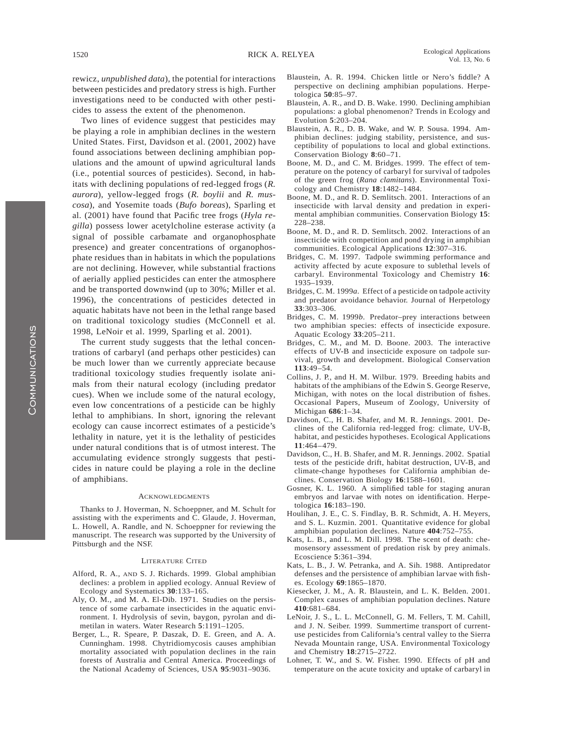rewicz, *unpublished data*), the potential for interactions between pesticides and predatory stress is high. Further investigations need to be conducted with other pesticides to assess the extent of the phenomenon.

Two lines of evidence suggest that pesticides may be playing a role in amphibian declines in the western United States. First, Davidson et al. (2001, 2002) have found associations between declining amphibian populations and the amount of upwind agricultural lands (i.e., potential sources of pesticides). Second, in habitats with declining populations of red-legged frogs (*R. aurora*), yellow-legged frogs (*R. boylii* and *R. muscosa*), and Yosemite toads (*Bufo boreas*), Sparling et al. (2001) have found that Pacific tree frogs (*Hyla regilla*) possess lower acetylcholine esterase activity (a signal of possible carbamate and organophosphate presence) and greater concentrations of organophosphate residues than in habitats in which the populations are not declining. However, while substantial fractions of aerially applied pesticides can enter the atmosphere and be transported downwind (up to 30%; Miller et al. 1996), the concentrations of pesticides detected in aquatic habitats have not been in the lethal range based on traditional toxicology studies (McConnell et al. 1998, LeNoir et al. 1999, Sparling et al. 2001).

The current study suggests that the lethal concentrations of carbaryl (and perhaps other pesticides) can be much lower than we currently appreciate because traditional toxicology studies frequently isolate animals from their natural ecology (including predator cues). When we include some of the natural ecology, even low concentrations of a pesticide can be highly lethal to amphibians. In short, ignoring the relevant ecology can cause incorrect estimates of a pesticide's lethality in nature, yet it is the lethality of pesticides under natural conditions that is of utmost interest. The accumulating evidence strongly suggests that pesticides in nature could be playing a role in the decline of amphibians.

#### **ACKNOWLEDGMENTS**

Thanks to J. Hoverman, N. Schoeppner, and M. Schult for assisting with the experiments and C. Glaude, J. Hoverman, L. Howell, A. Randle, and N. Schoeppner for reviewing the manuscript. The research was supported by the University of Pittsburgh and the NSF.

#### LITERATURE CITED

- Alford, R. A., AND S. J. Richards. 1999. Global amphibian declines: a problem in applied ecology. Annual Review of Ecology and Systematics **30**:133–165.
- Aly, O. M., and M. A. El-Dib. 1971. Studies on the persistence of some carbamate insecticides in the aquatic environment. I. Hydrolysis of sevin, baygon, pyrolan and dimetilan in waters. Water Research **5**:1191–1205.
- Berger, L., R. Speare, P. Daszak, D. E. Green, and A. A. Cunningham. 1998. Chytridiomycosis causes amphibian mortality associated with population declines in the rain forests of Australia and Central America. Proceedings of the National Academy of Sciences, USA **95**:9031–9036.
- Blaustein, A. R. 1994. Chicken little or Nero's fiddle? A perspective on declining amphibian populations. Herpetologica **50**:85–97.
- Blaustein, A. R., and D. B. Wake. 1990. Declining amphibian populations: a global phenomenon? Trends in Ecology and Evolution **5**:203–204.
- Blaustein, A. R., D. B. Wake, and W. P. Sousa. 1994. Amphibian declines: judging stability, persistence, and susceptibility of populations to local and global extinctions. Conservation Biology **8**:60–71.
- Boone, M. D., and C. M. Bridges. 1999. The effect of temperature on the potency of carbaryl for survival of tadpoles of the green frog (*Rana clamitans*). Environmental Toxicology and Chemistry **18**:1482–1484.
- Boone, M. D., and R. D. Semlitsch. 2001. Interactions of an insecticide with larval density and predation in experimental amphibian communities. Conservation Biology **15**: 228–238.
- Boone, M. D., and R. D. Semlitsch. 2002. Interactions of an insecticide with competition and pond drying in amphibian communities. Ecological Applications **12**:307–316.
- Bridges, C. M. 1997. Tadpole swimming performance and activity affected by acute exposure to sublethal levels of carbaryl. Environmental Toxicology and Chemistry **16**: 1935–1939.
- Bridges, C. M. 1999*a*. Effect of a pesticide on tadpole activity and predator avoidance behavior. Journal of Herpetology **33**:303–306.
- Bridges, C. M. 1999*b*. Predator–prey interactions between two amphibian species: effects of insecticide exposure. Aquatic Ecology **33**:205–211.
- Bridges, C. M., and M. D. Boone. 2003. The interactive effects of UV-B and insecticide exposure on tadpole survival, growth and development. Biological Conservation **113**:49–54.
- Collins, J. P., and H. M. Wilbur. 1979. Breeding habits and habitats of the amphibians of the Edwin S. George Reserve, Michigan, with notes on the local distribution of fishes. Occasional Papers, Museum of Zoology, University of Michigan **686**:1–34.
- Davidson, C., H. B. Shafer, and M. R. Jennings. 2001. Declines of the California red-legged frog: climate, UV-B, habitat, and pesticides hypotheses. Ecological Applications **11**:464–479.
- Davidson, C., H. B. Shafer, and M. R. Jennings. 2002. Spatial tests of the pesticide drift, habitat destruction, UV-B, and climate-change hypotheses for California amphibian declines. Conservation Biology **16**:1588–1601.
- Gosner, K. L. 1960. A simplified table for staging anuran embryos and larvae with notes on identification. Herpetologica **16**:183–190.
- Houlihan, J. E., C. S. Findlay, B. R. Schmidt, A. H. Meyers, and S. L. Kuzmin. 2001. Quantitative evidence for global amphibian population declines. Nature **404**:752–755.
- Kats, L. B., and L. M. Dill. 1998. The scent of death: chemosensory assessment of predation risk by prey animals. Ecoscience **5**:361–394.
- Kats, L. B., J. W. Petranka, and A. Sih. 1988. Antipredator defenses and the persistence of amphibian larvae with fishes. Ecology **69**:1865–1870.
- Kiesecker, J. M., A. R. Blaustein, and L. K. Belden. 2001. Complex causes of amphibian population declines. Nature **410**:681–684.
- LeNoir, J. S., L. L. McConnell, G. M. Fellers, T. M. Cahill, and J. N. Seiber. 1999. Summertime transport of currentuse pesticides from California's central valley to the Sierra Nevada Mountain range, USA. Environmental Toxicology and Chemistry **18**:2715–2722.
- Lohner, T. W., and S. W. Fisher. 1990. Effects of pH and temperature on the acute toxicity and uptake of carbaryl in